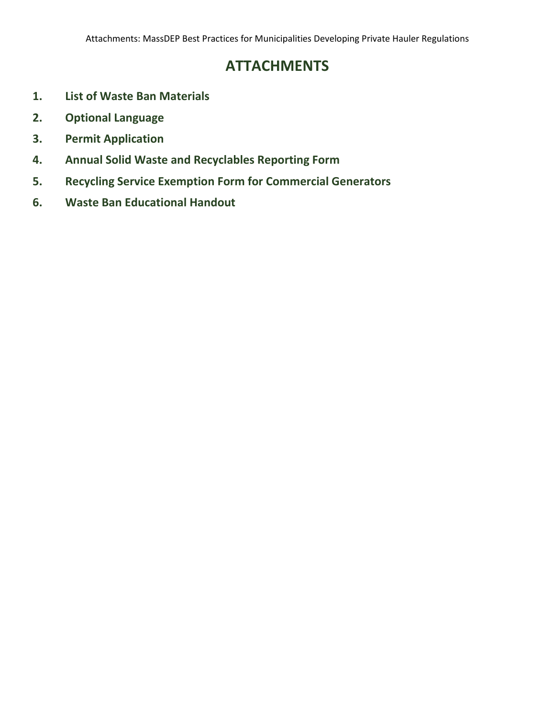# **ATTACHMENTS**

- **1. List of Waste Ban Materials**
- **2. Optional Language**
- **3. Permit Application**
- **4. Annual Solid Waste and Recyclables Reporting Form**
- **5. Recycling Service Exemption Form for Commercial Generators**
- **6. Waste Ban Educational Handout**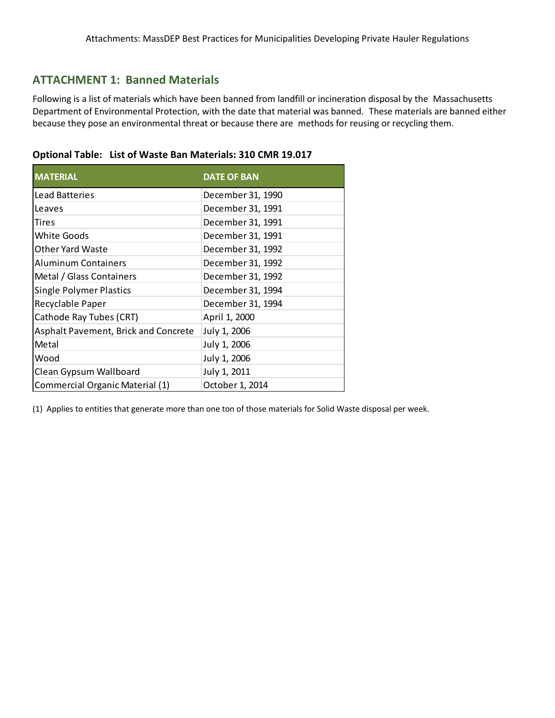## **ATTACHMENT 1: Banned Materials**

Following is a list of materials which have been banned from landfill or incineration disposal by the Massachusetts Department of Environmental Protection, with the date that material was banned. These materials are banned either because they pose an environmental threat or because there are methods for reusing or recycling them.

| <b>I MATERIAL</b> | <b>DATE OF BAN</b> |
|-------------------|--------------------|
| Lead Batteries    | December 31, 1990  |
| <b>ILeaves</b>    | December 31, 1991  |

|  | Optional Table: List of Waste Ban Materials: 310 CMR 19.017 |  |  |
|--|-------------------------------------------------------------|--|--|
|--|-------------------------------------------------------------|--|--|

| LUU DULLUILU                         | DOCCTING JI, IJJU |
|--------------------------------------|-------------------|
| Leaves                               | December 31, 1991 |
| Tires                                | December 31, 1991 |
| <b>White Goods</b>                   | December 31, 1991 |
| <b>Other Yard Waste</b>              | December 31, 1992 |
| <b>Aluminum Containers</b>           | December 31, 1992 |
| Metal / Glass Containers             | December 31, 1992 |
| <b>Single Polymer Plastics</b>       | December 31, 1994 |
| Recyclable Paper                     | December 31, 1994 |
| Cathode Ray Tubes (CRT)              | April 1, 2000     |
| Asphalt Pavement, Brick and Concrete | July 1, 2006      |
| Metal                                | July 1, 2006      |
| Wood                                 | July 1, 2006      |
| Clean Gypsum Wallboard               | July 1, 2011      |
| Commercial Organic Material (1)      | October 1, 2014   |

(1) Applies to entities that generate more than one ton of those materials for Solid Waste disposal per week.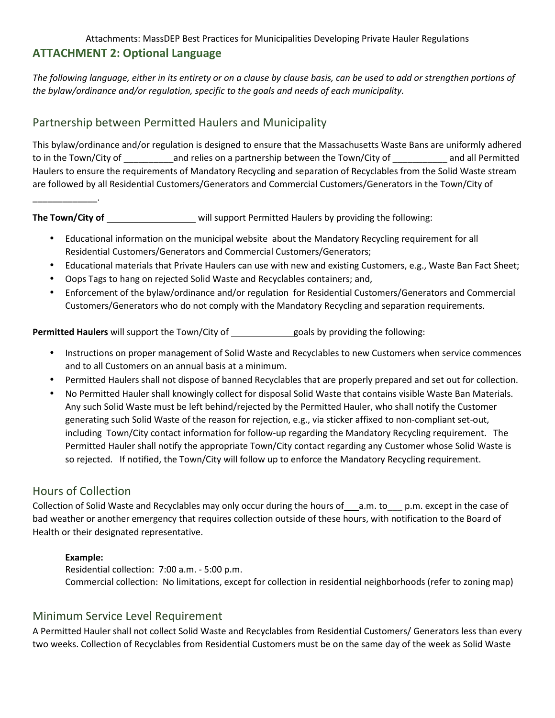# Attachments: MassDEP Best Practices for Municipalities Developing Private Hauler Regulations **ATTACHMENT 2: Optional Language**

*The following language, either in its entirety or on a clause by clause basis, can be used to add or strengthen portions of the bylaw/ordinance and/or regulation, specific to the goals and needs of each municipality.* 

# Partnership between Permitted Haulers and Municipality

This bylaw/ordinance and/or regulation is designed to ensure that the Massachusetts Waste Bans are uniformly adhered to in the Town/City of \_\_\_\_\_\_\_\_\_\_and relies on a partnership between the Town/City of \_\_\_\_\_\_\_\_\_\_\_ and all Permitted Haulers to ensure the requirements of Mandatory Recycling and separation of Recyclables from the Solid Waste stream are followed by all Residential Customers/Generators and Commercial Customers/Generators in the Town/City of

**The Town/City of \_\_\_\_\_\_\_\_\_\_\_\_\_\_\_\_\_\_\_\_\_\_\_\_will support Permitted Haulers by providing the following:** 

- Educational information on the municipal website about the Mandatory Recycling requirement for all Residential Customers/Generators and Commercial Customers/Generators;
- Educational materials that Private Haulers can use with new and existing Customers, e.g., Waste Ban Fact Sheet;
- Oops Tags to hang on rejected Solid Waste and Recyclables containers; and,
- Enforcement of the bylaw/ordinance and/or regulation for Residential Customers/Generators and Commercial Customers/Generators who do not comply with the Mandatory Recycling and separation requirements.

**Permitted Haulers** will support the Town/City of goals by providing the following:

- Instructions on proper management of Solid Waste and Recyclables to new Customers when service commences and to all Customers on an annual basis at a minimum.
- Permitted Haulers shall not dispose of banned Recyclables that are properly prepared and set out for collection.
- No Permitted Hauler shall knowingly collect for disposal Solid Waste that contains visible Waste Ban Materials. Any such Solid Waste must be left behind/rejected by the Permitted Hauler, who shall notify the Customer generating such Solid Waste of the reason for rejection, e.g., via sticker affixed to non-compliant set-out, including Town/City contact information for follow-up regarding the Mandatory Recycling requirement. The Permitted Hauler shall notify the appropriate Town/City contact regarding any Customer whose Solid Waste is so rejected. If notified, the Town/City will follow up to enforce the Mandatory Recycling requirement.

# Hours of Collection

 $\overline{\phantom{a}}$  . The set of the set of the set of the set of the set of the set of the set of the set of the set of the set of the set of the set of the set of the set of the set of the set of the set of the set of the set o

Collection of Solid Waste and Recyclables may only occur during the hours of \_\_a.m. to \_\_ p.m. except in the case of bad weather or another emergency that requires collection outside of these hours, with notification to the Board of Health or their designated representative.

## **Example:**

Residential collection: 7:00 a.m. - 5:00 p.m. Commercial collection: No limitations, except for collection in residential neighborhoods (refer to zoning map)

# Minimum Service Level Requirement

A Permitted Hauler shall not collect Solid Waste and Recyclables from Residential Customers/ Generators less than every two weeks. Collection of Recyclables from Residential Customers must be on the same day of the week as Solid Waste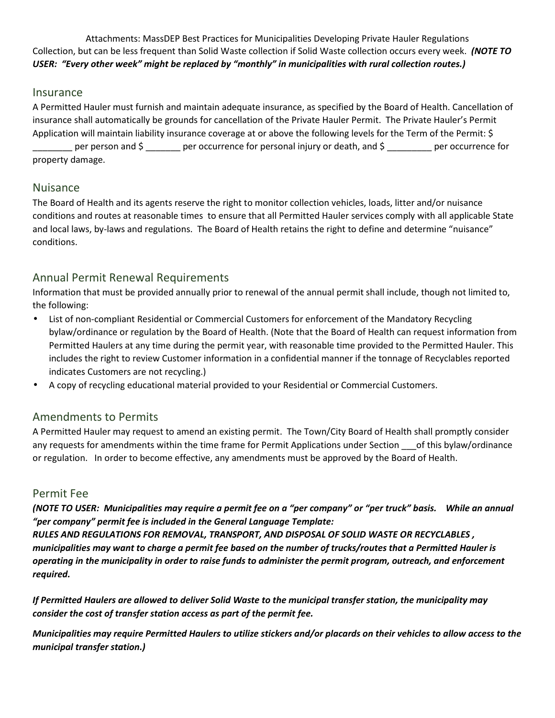Attachments: MassDEP Best Practices for Municipalities Developing Private Hauler Regulations Collection, but can be less frequent than Solid Waste collection if Solid Waste collection occurs every week. *(NOTE TO USER: "Every other week" might be replaced by "monthly" in municipalities with rural collection routes.)*

## Insurance

A Permitted Hauler must furnish and maintain adequate insurance, as specified by the Board of Health. Cancellation of insurance shall automatically be grounds for cancellation of the Private Hauler Permit. The Private Hauler's Permit Application will maintain liability insurance coverage at or above the following levels for the Term of the Permit: \$ per person and \$ \_\_\_\_\_\_ per occurrence for personal injury or death, and \$ \_\_\_\_\_\_\_ per occurrence for property damage.

## Nuisance

The Board of Health and its agents reserve the right to monitor collection vehicles, loads, litter and/or nuisance conditions and routes at reasonable times to ensure that all Permitted Hauler services comply with all applicable State and local laws, by-laws and regulations. The Board of Health retains the right to define and determine "nuisance" conditions.

# Annual Permit Renewal Requirements

Information that must be provided annually prior to renewal of the annual permit shall include, though not limited to, the following:

- List of non-compliant Residential or Commercial Customers for enforcement of the Mandatory Recycling bylaw/ordinance or regulation by the Board of Health. (Note that the Board of Health can request information from Permitted Haulers at any time during the permit year, with reasonable time provided to the Permitted Hauler. This includes the right to review Customer information in a confidential manner if the tonnage of Recyclables reported indicates Customers are not recycling.)
- A copy of recycling educational material provided to your Residential or Commercial Customers.

# Amendments to Permits

A Permitted Hauler may request to amend an existing permit. The Town/City Board of Health shall promptly consider any requests for amendments within the time frame for Permit Applications under Section \_\_\_of this bylaw/ordinance or regulation. In order to become effective, any amendments must be approved by the Board of Health.

## Permit Fee

*(NOTE TO USER: Municipalities may require a permit fee on a "per company" or "per truck" basis. While an annual "per company" permit fee is included in the General Language Template:* 

*RULES AND REGULATIONS FOR REMOVAL, TRANSPORT, AND DISPOSAL OF SOLID WASTE OR RECYCLABLES , municipalities may want to charge a permit fee based on the number of trucks/routes that a Permitted Hauler is operating in the municipality in order to raise funds to administer the permit program, outreach, and enforcement required.* 

*If Permitted Haulers are allowed to deliver Solid Waste to the municipal transfer station, the municipality may consider the cost of transfer station access as part of the permit fee.* 

*Municipalities may require Permitted Haulers to utilize stickers and/or placards on their vehicles to allow access to the municipal transfer station.)*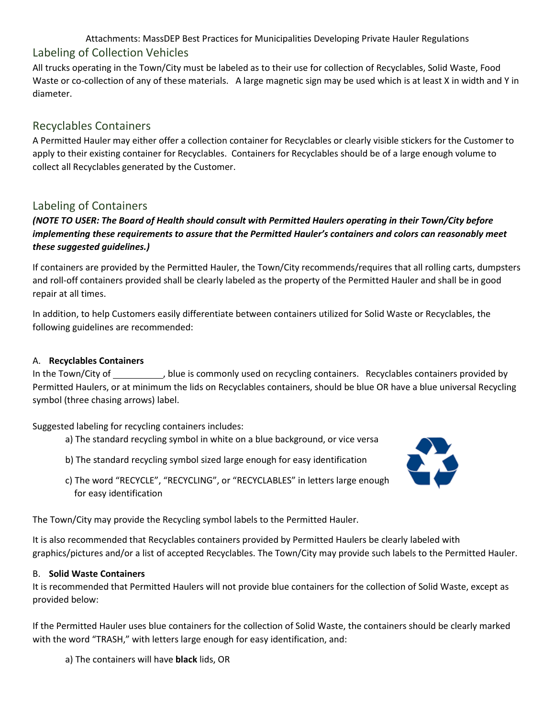Attachments: MassDEP Best Practices for Municipalities Developing Private Hauler Regulations Labeling of Collection Vehicles

All trucks operating in the Town/City must be labeled as to their use for collection of Recyclables, Solid Waste, Food Waste or co-collection of any of these materials. A large magnetic sign may be used which is at least X in width and Y in diameter.

# Recyclables Containers

A Permitted Hauler may either offer a collection container for Recyclables or clearly visible stickers for the Customer to apply to their existing container for Recyclables. Containers for Recyclables should be of a large enough volume to collect all Recyclables generated by the Customer.

# Labeling of Containers

## *(NOTE TO USER: The Board of Health should consult with Permitted Haulers operating in their Town/City before implementing these requirements to assure that the Permitted Hauler's containers and colors can reasonably meet these suggested guidelines.)*

If containers are provided by the Permitted Hauler, the Town/City recommends/requires that all rolling carts, dumpsters and roll-off containers provided shall be clearly labeled as the property of the Permitted Hauler and shall be in good repair at all times.

In addition, to help Customers easily differentiate between containers utilized for Solid Waste or Recyclables, the following guidelines are recommended:

## A. **Recyclables Containers**

In the Town/City of \_\_\_\_\_\_\_\_\_\_, blue is commonly used on recycling containers. Recyclables containers provided by Permitted Haulers, or at minimum the lids on Recyclables containers, should be blue OR have a blue universal Recycling symbol (three chasing arrows) label.

Suggested labeling for recycling containers includes:

- a) The standard recycling symbol in white on a blue background, or vice versa
- b) The standard recycling symbol sized large enough for easy identification
- c) The word "RECYCLE", "RECYCLING", or "RECYCLABLES" in letters large enough for easy identification



The Town/City may provide the Recycling symbol labels to the Permitted Hauler.

It is also recommended that Recyclables containers provided by Permitted Haulers be clearly labeled with graphics/pictures and/or a list of accepted Recyclables. The Town/City may provide such labels to the Permitted Hauler.

## B. **Solid Waste Containers**

It is recommended that Permitted Haulers will not provide blue containers for the collection of Solid Waste, except as provided below:

If the Permitted Hauler uses blue containers for the collection of Solid Waste, the containers should be clearly marked with the word "TRASH," with letters large enough for easy identification, and:

a) The containers will have **black** lids, OR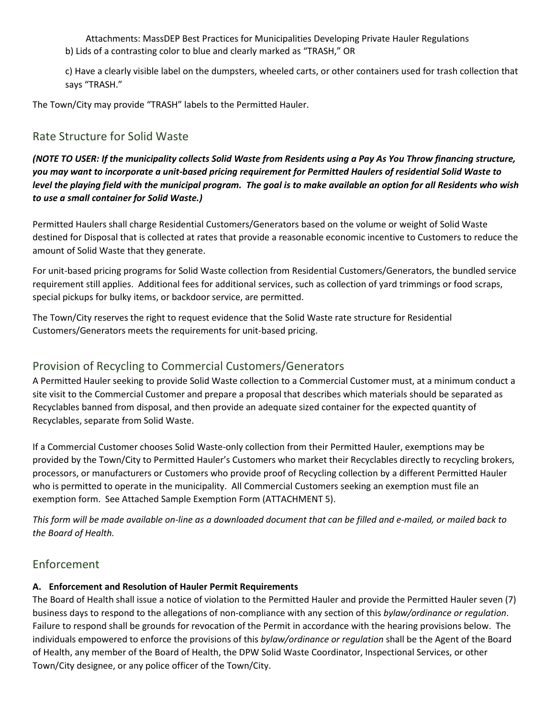Attachments: MassDEP Best Practices for Municipalities Developing Private Hauler Regulations b) Lids of a contrasting color to blue and clearly marked as "TRASH," OR

c) Have a clearly visible label on the dumpsters, wheeled carts, or other containers used for trash collection that says "TRASH."

The Town/City may provide "TRASH" labels to the Permitted Hauler.

# Rate Structure for Solid Waste

*(NOTE TO USER: If the municipality collects Solid Waste from Residents using a Pay As You Throw financing structure, you may want to incorporate a unit-based pricing requirement for Permitted Haulers of residential Solid Waste to level the playing field with the municipal program. The goal is to make available an option for all Residents who wish to use a small container for Solid Waste.)*

Permitted Haulers shall charge Residential Customers/Generators based on the volume or weight of Solid Waste destined for Disposal that is collected at rates that provide a reasonable economic incentive to Customers to reduce the amount of Solid Waste that they generate.

For unit-based pricing programs for Solid Waste collection from Residential Customers/Generators, the bundled service requirement still applies. Additional fees for additional services, such as collection of yard trimmings or food scraps, special pickups for bulky items, or backdoor service, are permitted.

The Town/City reserves the right to request evidence that the Solid Waste rate structure for Residential Customers/Generators meets the requirements for unit-based pricing.

# Provision of Recycling to Commercial Customers/Generators

A Permitted Hauler seeking to provide Solid Waste collection to a Commercial Customer must, at a minimum conduct a site visit to the Commercial Customer and prepare a proposal that describes which materials should be separated as Recyclables banned from disposal, and then provide an adequate sized container for the expected quantity of Recyclables, separate from Solid Waste.

If a Commercial Customer chooses Solid Waste-only collection from their Permitted Hauler, exemptions may be provided by the Town/City to Permitted Hauler's Customers who market their Recyclables directly to recycling brokers, processors, or manufacturers or Customers who provide proof of Recycling collection by a different Permitted Hauler who is permitted to operate in the municipality. All Commercial Customers seeking an exemption must file an exemption form. See Attached Sample Exemption Form (ATTACHMENT 5).

*This form will be made available on-line as a downloaded document that can be filled and e-mailed, or mailed back to the Board of Health.* 

# Enforcement

## **A. Enforcement and Resolution of Hauler Permit Requirements**

The Board of Health shall issue a notice of violation to the Permitted Hauler and provide the Permitted Hauler seven (7) business days to respond to the allegations of non-compliance with any section of this *bylaw/ordinance or regulation*. Failure to respond shall be grounds for revocation of the Permit in accordance with the hearing provisions below. The individuals empowered to enforce the provisions of this *bylaw/ordinance or regulation* shall be the Agent of the Board of Health, any member of the Board of Health, the DPW Solid Waste Coordinator, Inspectional Services, or other Town/City designee, or any police officer of the Town/City.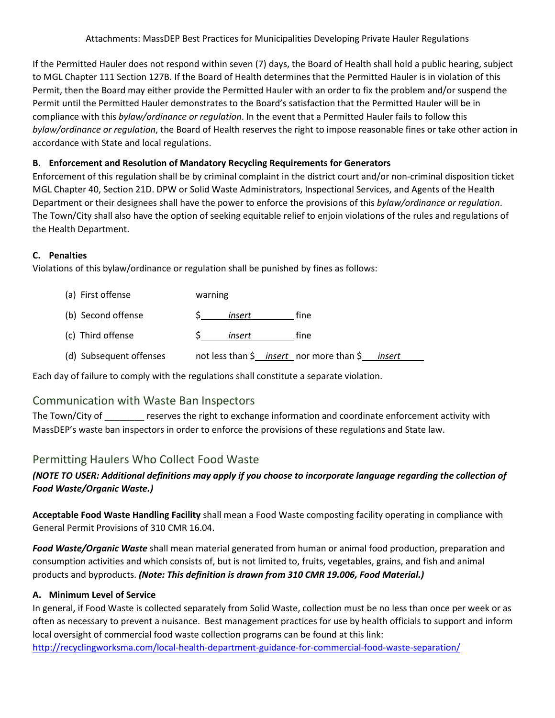If the Permitted Hauler does not respond within seven (7) days, the Board of Health shall hold a public hearing, subject to MGL Chapter 111 Section 127B. If the Board of Health determines that the Permitted Hauler is in violation of this Permit, then the Board may either provide the Permitted Hauler with an order to fix the problem and/or suspend the Permit until the Permitted Hauler demonstrates to the Board's satisfaction that the Permitted Hauler will be in compliance with this *bylaw/ordinance or regulation*. In the event that a Permitted Hauler fails to follow this *bylaw/ordinance or regulation*, the Board of Health reserves the right to impose reasonable fines or take other action in accordance with State and local regulations.

## **B. Enforcement and Resolution of Mandatory Recycling Requirements for Generators**

Enforcement of this regulation shall be by criminal complaint in the district court and/or non-criminal disposition ticket MGL Chapter 40, Section 21D. DPW or Solid Waste Administrators, Inspectional Services, and Agents of the Health Department or their designees shall have the power to enforce the provisions of this *bylaw/ordinance or regulation*. The Town/City shall also have the option of seeking equitable relief to enjoin violations of the rules and regulations of the Health Department.

## **C. Penalties**

Violations of this bylaw/ordinance or regulation shall be punished by fines as follows:

| (a) First offense       | warning                                  |        |
|-------------------------|------------------------------------------|--------|
| (b) Second offense      | tine<br>insert                           |        |
| (c) Third offense       | tine<br>insert                           |        |
| (d) Subsequent offenses | not less than \$ insert nor more than \$ | insert |

Each day of failure to comply with the regulations shall constitute a separate violation.

# Communication with Waste Ban Inspectors

The Town/City of **Example 2** reserves the right to exchange information and coordinate enforcement activity with MassDEP's waste ban inspectors in order to enforce the provisions of these regulations and State law.

# Permitting Haulers Who Collect Food Waste

## *(NOTE TO USER: Additional definitions may apply if you choose to incorporate language regarding the collection of Food Waste/Organic Waste.)*

**Acceptable Food Waste Handling Facility** shall mean a Food Waste composting facility operating in compliance with General Permit Provisions of 310 CMR 16.04.

*Food Waste/Organic Waste* shall mean material generated from human or animal food production, preparation and consumption activities and which consists of, but is not limited to, fruits, vegetables, grains, and fish and animal products and byproducts. *(Note: This definition is drawn from 310 CMR 19.006, Food Material.)*

## **A. Minimum Level of Service**

In general, if Food Waste is collected separately from Solid Waste, collection must be no less than once per week or as often as necessary to prevent a nuisance. Best management practices for use by health officials to support and inform local oversight of commercial food waste collection programs can be found at this link: http://recyclingworksma.com/local-health-department-guidance-for-commercial-food-waste-separation/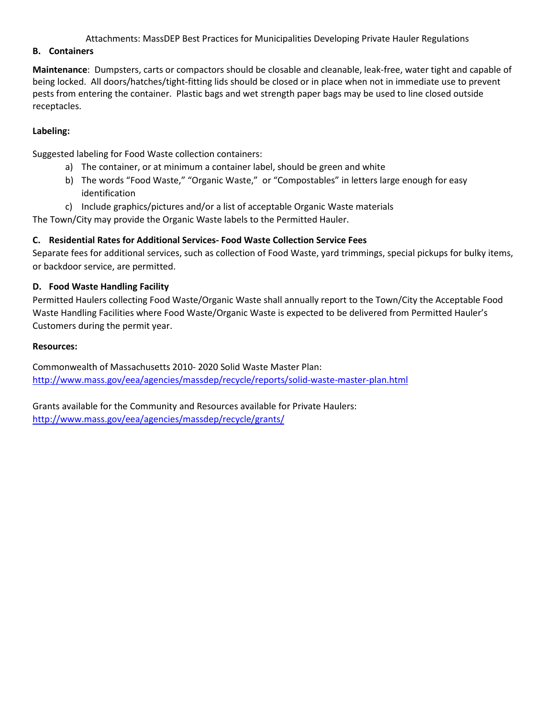#### Attachments: MassDEP Best Practices for Municipalities Developing Private Hauler Regulations

#### **B. Containers**

**Maintenance**: Dumpsters, carts or compactors should be closable and cleanable, leak-free, water tight and capable of being locked. All doors/hatches/tight-fitting lids should be closed or in place when not in immediate use to prevent pests from entering the container. Plastic bags and wet strength paper bags may be used to line closed outside receptacles.

#### **Labeling:**

Suggested labeling for Food Waste collection containers:

- a) The container, or at minimum a container label, should be green and white
- b) The words "Food Waste," "Organic Waste," or "Compostables" in letters large enough for easy identification
- c) Include graphics/pictures and/or a list of acceptable Organic Waste materials

The Town/City may provide the Organic Waste labels to the Permitted Hauler.

### **C. Residential Rates for Additional Services- Food Waste Collection Service Fees**

Separate fees for additional services, such as collection of Food Waste, yard trimmings, special pickups for bulky items, or backdoor service, are permitted.

### **D. Food Waste Handling Facility**

Permitted Haulers collecting Food Waste/Organic Waste shall annually report to the Town/City the Acceptable Food Waste Handling Facilities where Food Waste/Organic Waste is expected to be delivered from Permitted Hauler's Customers during the permit year.

#### **Resources:**

Commonwealth of Massachusetts 2010- 2020 Solid Waste Master Plan: http://www.mass.gov/eea/agencies/massdep/recycle/reports/solid-waste-master-plan.html

Grants available for the Community and Resources available for Private Haulers: http://www.mass.gov/eea/agencies/massdep/recycle/grants/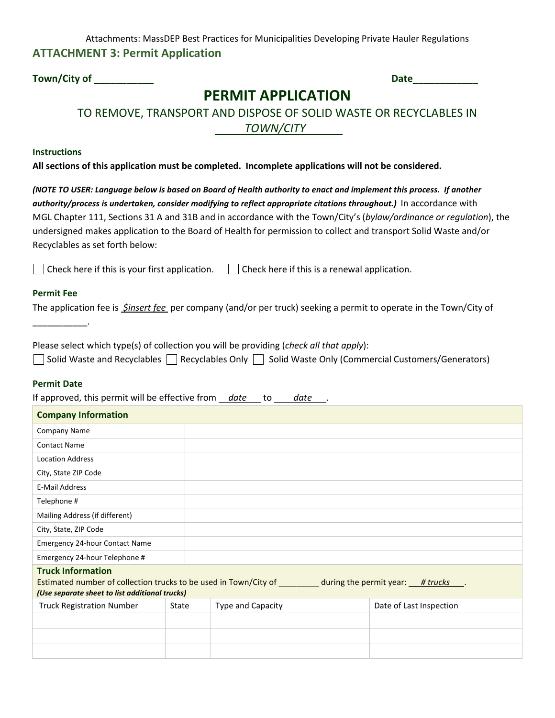Attachments: MassDEP Best Practices for Municipalities Developing Private Hauler Regulations **ATTACHMENT 3: Permit Application** 

**Town/City of \_\_\_\_\_\_\_\_\_\_\_ Date\_\_\_\_\_\_\_\_\_\_\_\_** 

# **PERMIT APPLICATION**

# TO REMOVE, TRANSPORT AND DISPOSE OF SOLID WASTE OR RECYCLABLES IN  *TOWN/CITY*

#### **Instructions**

**All sections of this application must be completed. Incomplete applications will not be considered.** 

*(NOTE TO USER: Language below is based on Board of Health authority to enact and implement this process. If another*  authority/process is undertaken, consider modifying to reflect appropriate citations throughout.) In accordance with MGL Chapter 111, Sections 31 A and 31B and in accordance with the Town/City's (*bylaw/ordinance or regulation*), the undersigned makes application to the Board of Health for permission to collect and transport Solid Waste and/or Recyclables as set forth below:

| $\Box$ Check here if this is your first application. | $\Box$ Check here if this is a renewal application. |
|------------------------------------------------------|-----------------------------------------------------|
|------------------------------------------------------|-----------------------------------------------------|

#### **Permit Fee**

 $\overline{\phantom{a}}$ 

The application fee is *\$insert fee* per company (and/or per truck) seeking a permit to operate in the Town/City of

Please select which type(s) of collection you will be providing (*check all that apply*):  $\Box$  Solid Waste and Recyclables  $\Box$  Recyclables Only  $\Box$  Solid Waste Only (Commercial Customers/Generators)

#### **Permit Date**

If approved, this permit will be effective from *date* to *date*.

| <b>Company Information</b>                                                                                                                                                                 |       |                   |                         |
|--------------------------------------------------------------------------------------------------------------------------------------------------------------------------------------------|-------|-------------------|-------------------------|
| <b>Company Name</b>                                                                                                                                                                        |       |                   |                         |
| <b>Contact Name</b>                                                                                                                                                                        |       |                   |                         |
| <b>Location Address</b>                                                                                                                                                                    |       |                   |                         |
| City, State ZIP Code                                                                                                                                                                       |       |                   |                         |
| E-Mail Address                                                                                                                                                                             |       |                   |                         |
| Telephone #                                                                                                                                                                                |       |                   |                         |
| Mailing Address (if different)                                                                                                                                                             |       |                   |                         |
| City, State, ZIP Code                                                                                                                                                                      |       |                   |                         |
| Emergency 24-hour Contact Name                                                                                                                                                             |       |                   |                         |
| Emergency 24-hour Telephone #                                                                                                                                                              |       |                   |                         |
| <b>Truck Information</b><br>Estimated number of collection trucks to be used in Town/City of ________ during the permit year: __# trucks<br>(Use separate sheet to list additional trucks) |       |                   |                         |
| <b>Truck Registration Number</b>                                                                                                                                                           | State | Type and Capacity | Date of Last Inspection |
|                                                                                                                                                                                            |       |                   |                         |
|                                                                                                                                                                                            |       |                   |                         |
|                                                                                                                                                                                            |       |                   |                         |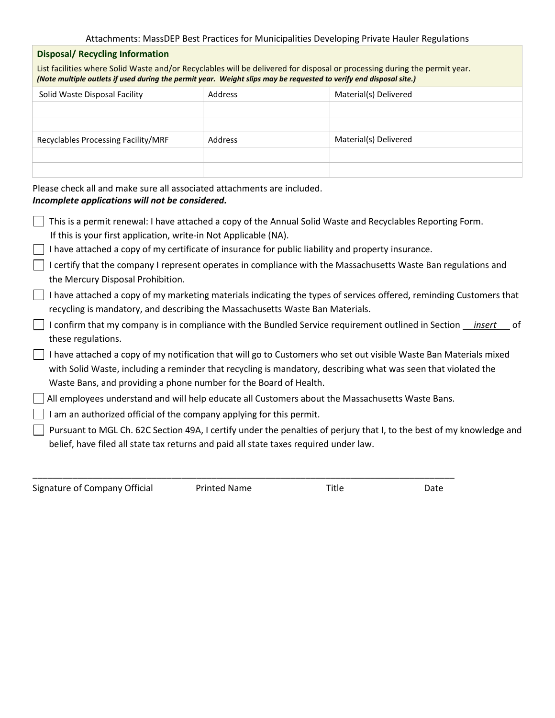#### Attachments: MassDEP Best Practices for Municipalities Developing Private Hauler Regulations

#### **Disposal/ Recycling Information**

List facilities where Solid Waste and/or Recyclables will be delivered for disposal or processing during the permit year. *(Note multiple outlets if used during the permit year. Weight slips may be requested to verify end disposal site.)* 

| Address | Material(s) Delivered |
|---------|-----------------------|
|         |                       |
|         |                       |
| Address | Material(s) Delivered |
|         |                       |
|         |                       |
|         |                       |

Please check all and make sure all associated attachments are included. *Incomplete applications will not be considered.*

| This is a permit renewal: I have attached a copy of the Annual Solid Waste and Recyclables Reporting Form.                                                                                                                                                                                               |
|----------------------------------------------------------------------------------------------------------------------------------------------------------------------------------------------------------------------------------------------------------------------------------------------------------|
| If this is your first application, write-in Not Applicable (NA).                                                                                                                                                                                                                                         |
| I have attached a copy of my certificate of insurance for public liability and property insurance.                                                                                                                                                                                                       |
| I certify that the company I represent operates in compliance with the Massachusetts Waste Ban regulations and<br>the Mercury Disposal Prohibition.                                                                                                                                                      |
| I have attached a copy of my marketing materials indicating the types of services offered, reminding Customers that<br>recycling is mandatory, and describing the Massachusetts Waste Ban Materials.                                                                                                     |
| I confirm that my company is in compliance with the Bundled Service requirement outlined in Section <i>insert</i><br>ot o<br>these regulations.                                                                                                                                                          |
| I have attached a copy of my notification that will go to Customers who set out visible Waste Ban Materials mixed<br>with Solid Waste, including a reminder that recycling is mandatory, describing what was seen that violated the<br>Waste Bans, and providing a phone number for the Board of Health. |
| All employees understand and will help educate all Customers about the Massachusetts Waste Bans.                                                                                                                                                                                                         |
| I am an authorized official of the company applying for this permit.                                                                                                                                                                                                                                     |
| Pursuant to MGL Ch. 62C Section 49A, I certify under the penalties of perjury that I, to the best of my knowledge and<br>belief, have filed all state tax returns and paid all state taxes required under law.                                                                                           |

Signature of Company Official Printed Name Title Title Date

\_\_\_\_\_\_\_\_\_\_\_\_\_\_\_\_\_\_\_\_\_\_\_\_\_\_\_\_\_\_\_\_\_\_\_\_\_\_\_\_\_\_\_\_\_\_\_\_\_\_\_\_\_\_\_\_\_\_\_\_\_\_\_\_\_\_\_\_\_\_\_\_\_\_\_\_\_\_\_\_\_\_\_\_\_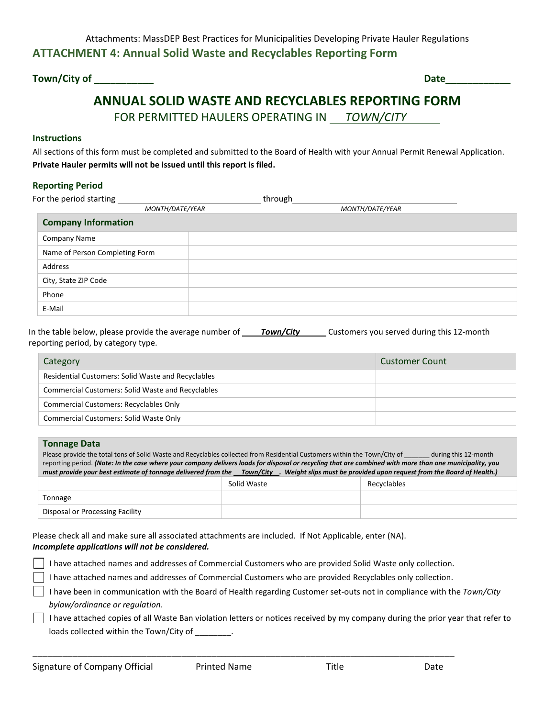**Town/City of \_\_\_\_\_\_\_\_\_\_\_ Date\_\_\_\_\_\_\_\_\_\_\_\_** 

# **ANNUAL SOLID WASTE AND RECYCLABLES REPORTING FORM**  FOR PERMITTED HAULERS OPERATING IN *TOWN/CITY*

#### **Instructions**

All sections of this form must be completed and submitted to the Board of Health with your Annual Permit Renewal Application. **Private Hauler permits will not be issued until this report is filed.**

### **Reporting Period**

| For the period starting        |                 | through |                 |  |
|--------------------------------|-----------------|---------|-----------------|--|
|                                | MONTH/DATE/YEAR |         | MONTH/DATE/YEAR |  |
| <b>Company Information</b>     |                 |         |                 |  |
| <b>Company Name</b>            |                 |         |                 |  |
| Name of Person Completing Form |                 |         |                 |  |
| Address                        |                 |         |                 |  |
| City, State ZIP Code           |                 |         |                 |  |
| Phone                          |                 |         |                 |  |
| E-Mail                         |                 |         |                 |  |

In the table below, please provide the average number of **Town/City** Customers you served during this 12-month reporting period, by category type.

| Category                                                  | <b>Customer Count</b> |
|-----------------------------------------------------------|-----------------------|
| <b>Residential Customers: Solid Waste and Recyclables</b> |                       |
| <b>Commercial Customers: Solid Waste and Recyclables</b>  |                       |
| <b>Commercial Customers: Recyclables Only</b>             |                       |
| <b>Commercial Customers: Solid Waste Only</b>             |                       |

#### **Tonnage Data**

Please provide the total tons of Solid Waste and Recyclables collected from Residential Customers within the Town/City of \_\_\_\_\_\_ during this 12-month reporting period. *(Note: In the case where your company delivers loads for disposal or recycling that are combined with more than one municipality, you must provide your best estimate of tonnage delivered from the Town/City . Weight slips must be provided upon request from the Board of Health.)*

|                                 | Solid Waste | Recyclables |
|---------------------------------|-------------|-------------|
| Tonnage                         |             |             |
| Disposal or Processing Facility |             |             |

Please check all and make sure all associated attachments are included. If Not Applicable, enter (NA). *Incomplete applications will not be considered.* 

I have attached names and addresses of Commercial Customers who are provided Solid Waste only collection.

I have attached names and addresses of Commercial Customers who are provided Recyclables only collection.

\_\_\_\_\_\_\_\_\_\_\_\_\_\_\_\_\_\_\_\_\_\_\_\_\_\_\_\_\_\_\_\_\_\_\_\_\_\_\_\_\_\_\_\_\_\_\_\_\_\_\_\_\_\_\_\_\_\_\_\_\_\_\_\_\_\_\_\_\_\_\_\_\_\_\_\_\_\_\_\_\_\_\_\_\_

- I have been in communication with the Board of Health regarding Customer set-outs not in compliance with the *Town/City bylaw/ordinance or regulation*.
- I have attached copies of all Waste Ban violation letters or notices received by my company during the prior year that refer to loads collected within the Town/City of .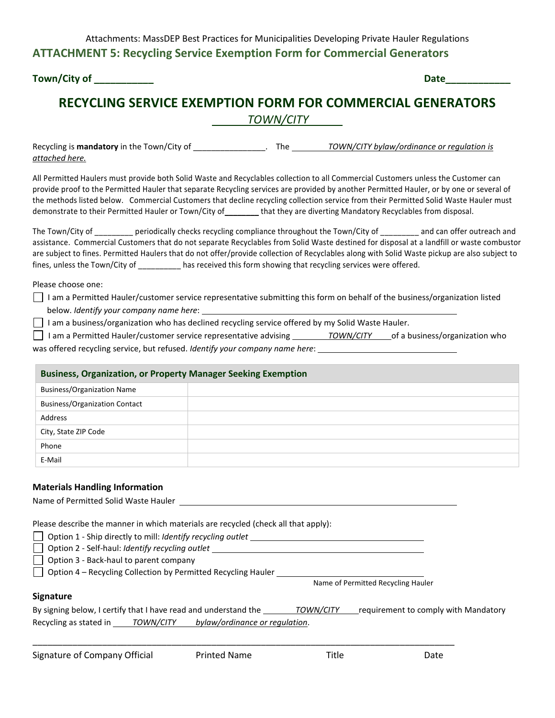Attachments: MassDEP Best Practices for Municipalities Developing Private Hauler Regulations **ATTACHMENT 5: Recycling Service Exemption Form for Commercial Generators** 

**Town/City of**   $\qquad \qquad$  **Date** 

# **RECYCLING SERVICE EXEMPTION FORM FOR COMMERCIAL GENERATORS**

 *TOWN/CITY* 

Recycling is **mandatory** in the Town/City of **way in the** *TOWN/CITY bylaw/ordinance or regulation is attached here.*

All Permitted Haulers must provide both Solid Waste and Recyclables collection to all Commercial Customers unless the Customer can provide proof to the Permitted Hauler that separate Recycling services are provided by another Permitted Hauler, or by one or several of the methods listed below. Commercial Customers that decline recycling collection service from their Permitted Solid Waste Hauler must demonstrate to their Permitted Hauler or Town/City of\_\_\_\_\_\_\_\_ that they are diverting Mandatory Recyclables from disposal.

The Town/City of \_\_\_\_\_\_\_\_ periodically checks recycling compliance throughout the Town/City of \_\_\_\_\_\_\_\_ and can offer outreach and assistance. Commercial Customers that do not separate Recyclables from Solid Waste destined for disposal at a landfill or waste combustor are subject to fines. Permitted Haulers that do not offer/provide collection of Recyclables along with Solid Waste pickup are also subject to fines, unless the Town/City of \_\_\_\_\_\_\_\_\_\_ has received this form showing that recycling services were offered.

Please choose one:

 I am a Permitted Hauler/customer service representative submitting this form on behalf of the business/organization listed below. *Identify your company name here*:

 $\Box$  I am a business/organization who has declined recycling service offered by my Solid Waste Hauler.

| │ I am a Permitted Hauler/customer service representative advising _ | TOWN/CITY | of a business/organization who |
|----------------------------------------------------------------------|-----------|--------------------------------|
|                                                                      |           |                                |

was offered recycling service, but refused. *Identify your company name here*:

| <b>Business, Organization, or Property Manager Seeking Exemption</b> |  |  |  |
|----------------------------------------------------------------------|--|--|--|
| <b>Business/Organization Name</b>                                    |  |  |  |
| <b>Business/Organization Contact</b>                                 |  |  |  |
| Address                                                              |  |  |  |
| City, State ZIP Code                                                 |  |  |  |
| Phone                                                                |  |  |  |
| E-Mail                                                               |  |  |  |

#### **Materials Handling Information**

| Name of Permitted Solid Waste Hauler |  |
|--------------------------------------|--|
|                                      |  |

Please describe the manner in which materials are recycled (check all that apply):

Option 1 - Ship directly to mill: *Identify recycling outlet*

Option 2 - Self-haul: *Identify recycling outlet*

 $\Box$  Option 3 - Back-haul to parent company

Option 4 – Recycling Collection by Permitted Recycling Hauler

Name of Permitted Recycling Hauler

#### **Signature**

| By signing below, I certify that I have read and understand the |                  |                                | <b>TOWN/CITY</b> | requirement to comply with Mandatory |
|-----------------------------------------------------------------|------------------|--------------------------------|------------------|--------------------------------------|
| Recycling as stated in                                          | <b>TOWN/CITY</b> | bylaw/ordinance or regulation. |                  |                                      |

\_\_\_\_\_\_\_\_\_\_\_\_\_\_\_\_\_\_\_\_\_\_\_\_\_\_\_\_\_\_\_\_\_\_\_\_\_\_\_\_\_\_\_\_\_\_\_\_\_\_\_\_\_\_\_\_\_\_\_\_\_\_\_\_\_\_\_\_\_\_\_\_\_\_\_\_\_\_\_\_\_\_\_\_\_